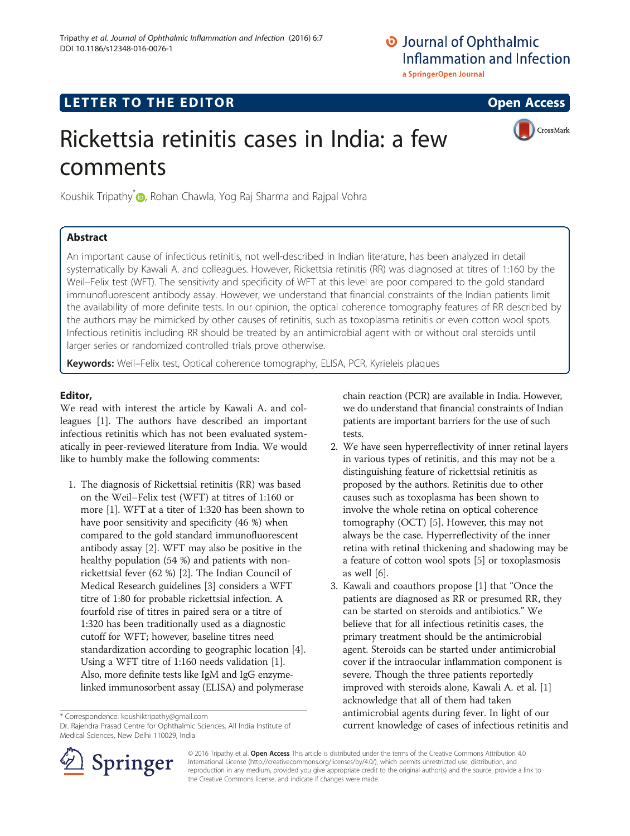## LETTER TO THE EDITOR **CONSIDERATION**

CrossMark

# Rickettsia retinitis cases in India: a few comments

Koushik Tripathy<sup>[\\*](http://orcid.org/0000-0002-9756-128X)</sup> **D**, Rohan Chawla, Yog Raj Sharma and Rajpal Vohra

## Abstract

An important cause of infectious retinitis, not well-described in Indian literature, has been analyzed in detail systematically by Kawali A. and colleagues. However, Rickettsia retinitis (RR) was diagnosed at titres of 1:160 by the Weil–Felix test (WFT). The sensitivity and specificity of WFT at this level are poor compared to the gold standard immunofluorescent antibody assay. However, we understand that financial constraints of the Indian patients limit the availability of more definite tests. In our opinion, the optical coherence tomography features of RR described by the authors may be mimicked by other causes of retinitis, such as toxoplasma retinitis or even cotton wool spots. Infectious retinitis including RR should be treated by an antimicrobial agent with or without oral steroids until larger series or randomized controlled trials prove otherwise.

Keywords: Weil-Felix test, Optical coherence tomography, ELISA, PCR, Kyrieleis plaques

### Editor,

We read with interest the article by Kawali A. and colleagues [[1](#page-1-0)]. The authors have described an important infectious retinitis which has not been evaluated systematically in peer-reviewed literature from India. We would like to humbly make the following comments:

1. The diagnosis of Rickettsial retinitis (RR) was based on the Weil–Felix test (WFT) at titres of 1:160 or more [[1](#page-1-0)]. WFT at a titer of 1:320 has been shown to have poor sensitivity and specificity (46 %) when compared to the gold standard immunofluorescent antibody assay [[2](#page-1-0)]. WFT may also be positive in the healthy population (54 %) and patients with nonrickettsial fever (62 %) [\[2](#page-1-0)]. The Indian Council of Medical Research guidelines [\[3\]](#page-1-0) considers a WFT titre of 1:80 for probable rickettsial infection. A fourfold rise of titres in paired sera or a titre of 1:320 has been traditionally used as a diagnostic cutoff for WFT; however, baseline titres need standardization according to geographic location [\[4\]](#page-1-0). Using a WFT titre of 1:160 needs validation [[1](#page-1-0)]. Also, more definite tests like IgM and IgG enzymelinked immunosorbent assay (ELISA) and polymerase

\* Correspondence: [koushiktripathy@gmail.com](mailto:koushiktripathy@gmail.com)

Dr. Rajendra Prasad Centre for Ophthalmic Sciences, All India Institute of Medical Sciences, New Delhi 110029, India



- 2. We have seen hyperreflectivity of inner retinal layers in various types of retinitis, and this may not be a distinguishing feature of rickettsial retinitis as proposed by the authors. Retinitis due to other causes such as toxoplasma has been shown to involve the whole retina on optical coherence tomography (OCT) [\[5](#page-1-0)]. However, this may not always be the case. Hyperreflectivity of the inner retina with retinal thickening and shadowing may be a feature of cotton wool spots [\[5\]](#page-1-0) or toxoplasmosis as well [[6](#page-1-0)].
- 3. Kawali and coauthors propose [\[1](#page-1-0)] that "Once the patients are diagnosed as RR or presumed RR, they can be started on steroids and antibiotics." We believe that for all infectious retinitis cases, the primary treatment should be the antimicrobial agent. Steroids can be started under antimicrobial cover if the intraocular inflammation component is severe. Though the three patients reportedly improved with steroids alone, Kawali A. et al. [[1\]](#page-1-0) acknowledge that all of them had taken antimicrobial agents during fever. In light of our current knowledge of cases of infectious retinitis and



© 2016 Tripathy et al. Open Access This article is distributed under the terms of the Creative Commons Attribution 4.0 International License ([http://creativecommons.org/licenses/by/4.0/\)](http://creativecommons.org/licenses/by/4.0/), which permits unrestricted use, distribution, and reproduction in any medium, provided you give appropriate credit to the original author(s) and the source, provide a link to the Creative Commons license, and indicate if changes were made.